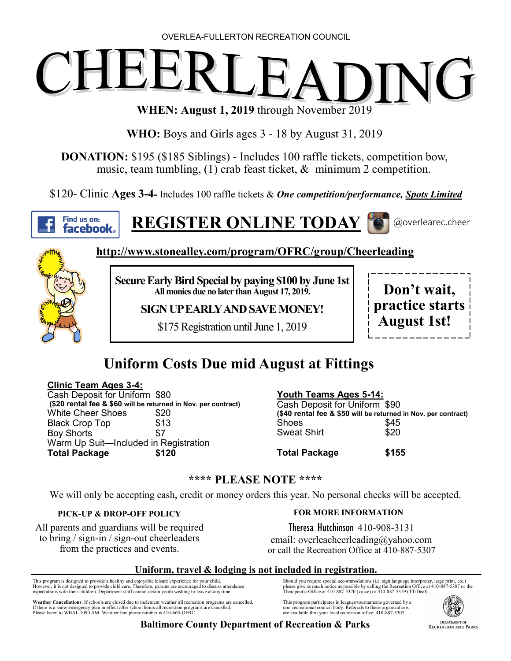#### OVERLEA-FULLERTON RECREATION COUNCIL

# $\overline{a}$ NG 1

**WHEN: August 1, 2019** through November 2019

**WHO:** Boys and Girls ages 3 - 18 by August 31, 2019

**DONATION:** \$195 (\$185 Siblings) - Includes 100 raffle tickets, competition bow, music, team tumbling, (1) crab feast ticket, & minimum 2 competition.

\$120- Clinic **Ages 3-4-** Includes 100 raffle tickets & *One competition/performance, Spots Limited*



**REGISTER ONLINE TODAY**





**http://www.stonealley.com/program/OFRC/group/Cheerleading**

**Secure Early Bird Special by paying \$100 by June 1st All monies due no later than August 17, 2019.**

**SIGN UP EARLY AND SAVE MONEY!**

\$175 Registration until June 1, 2019



### **Uniform Costs Due mid August at Fittings**

#### **Clinic Team Ages 3-4:**

Cash Deposit for Uniform \$80 **(\$20 rental fee & \$60 will be returned in Nov. per contract)** White Cheer Shoes \$20 Black Crop Top \$13 Boy Shorts \$7 Warm Up Suit—Included in Registration **Total Package \$120**

#### **Youth Teams Ages 5-14:**

Cash Deposit for Uniform \$90 **(\$40 rental fee & \$50 will be returned in Nov. per contract)** Shoes \$45 Sweat Shirt \$20

**Total Package \$155**

#### **\*\*\*\* PLEASE NOTE \*\*\*\***

We will only be accepting cash, credit or money orders this year. No personal checks will be accepted.

#### **PICK-UP & DROP-OFF POLICY**

All parents and guardians will be required to bring / sign-in / sign-out cheerleaders from the practices and events.

#### **FOR MORE INFORMATION**

Theresa Hutchinson 410-908-3131 email: overleacheerleading@yahoo.com or call the Recreation Office at 410-887-5307

#### **Uniform, travel & lodging is not included in registration.**

This program is designed to provide a healthy and enjoyable leisure experience for your child.<br>However, it is not designed to provide child care. Therefore, parents are encouraged to discuss attendance<br>expectations with th

**Weather Cancellations**: If schools are closed due to inclement weather all recreation programs are cancelled.<br>If there is a snow emergency plan in effect after school hours all recreation programs are cancelled If there is a snow emergency plan in effect after school hours all recreation programs are cancelled. Please listen to WBAL 1090 AM. Weather line phone number is 410-665-OFRC.

Should you require special accommodations (i.e. sign language interpreter, large print, etc.)<br>please give as much notice as possible by calling the Recreation Office at 410-887-5307 or the<br>Therapeutic Office at 410-887-537

This program participates in leagues/tournaments governed by a non-recreational council body. Referrals to these organizations non-recreational council body. Referrals to these organization<br>are available thru your local recreation office: 410-887-5307.



**Baltimore County Department of Recreation & Parks**